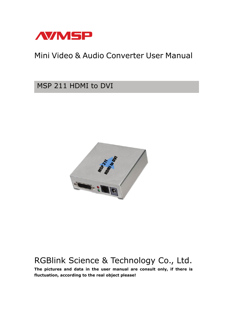

# Mini Video & Audio Converter User Manual

## MSP 211 HDMI to DVI



# RGBlink Science & Technology Co., Ltd.

**The pictures and data in the user manual are consult only, if there is fluctuation, according to the real object please!**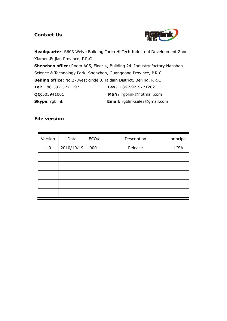## **Contact Us**



**Headquarter:** S603 Weiye Building Torch Hi-Tech Industrial Development Zone Xiamen,Fujian Province, P.R.C **Shenzhen office:** Room A05, Floor 4, Building 24, Industry factory Nanshan Science & Technology Park, Shenzhen, Guangdong Province, P.R.C **Beijing office:** No.27,west circle 3,Haidian District, Beijing, P.R.C **Tel:** +86-592-5771197 **Fax**:+86-592-5771202 **QQ:**505941001 **MSN:** rgblink@hotmail.com **Skype:** rgblink **Email:** rgblinksales@gmail.com

### **File version**

| Version | Date       | ECO# | Description | principal   |
|---------|------------|------|-------------|-------------|
| 1.0     | 2010/10/19 | 0001 | Release     | <b>LISA</b> |
|         |            |      |             |             |
|         |            |      |             |             |
|         |            |      |             |             |
|         |            |      |             |             |
|         |            |      |             |             |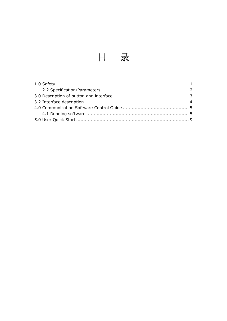目录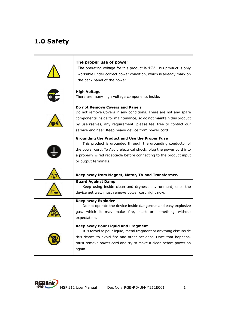# **1.0 Safety**

| The proper use of power<br>The operating voltage for this product is 12V. This product is only<br>workable under correct power condition, which is already mark on<br>the back panel of the power.                                                                                                   |
|------------------------------------------------------------------------------------------------------------------------------------------------------------------------------------------------------------------------------------------------------------------------------------------------------|
| <b>High Voltage</b><br>There are many high voltage components inside.                                                                                                                                                                                                                                |
| Do not Remove Covers and Panels<br>Do not remove Covers in any conditions. There are not any spare<br>components inside for maintenance, so do not maintain this product<br>by userrselves, any requirement, please feel free to contact our<br>service engineer. Keep heavy device from power cord. |
| <b>Grounding the Product and Use the Proper Fuse</b><br>This product is grounded through the grounding conductor of<br>the power cord. To Avoid electrical shock, plug the power cord into<br>a properly wired receptacle before connecting to the product input<br>or output terminals.             |
| Keep away from Magnet, Motor, TV and Transformer.                                                                                                                                                                                                                                                    |
| <b>Guard Against Damp</b><br>Keep using inside clean and dryness environment, once the<br>device get wet, must remove power cord right now.                                                                                                                                                          |
| <b>Keep away Exploder</b><br>Do not operate the device inside dangerous and easy explosive<br>gas, which it may make fire, blast or something without<br>expectation.                                                                                                                                |
| Keep away Pour Liquid and Fragment<br>It is forbid to pour liquid, metal fragment or anything else inside<br>this device to avoid fire and other accident. Once that happens,<br>must remove power cord and try to make it clean before power on<br>again.                                           |

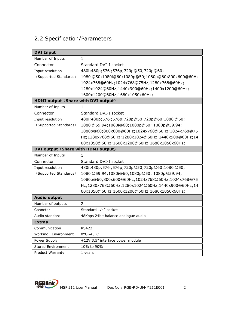## 2.2 Specification/Parameters

| <b>DVI Input</b>                    |                                                  |  |
|-------------------------------------|--------------------------------------------------|--|
| Number of Inputs                    | 1                                                |  |
| Connector                           | Standard DVI-I socket                            |  |
| Input resolution                    | 480i;480p;576i;576p;720p@50;720p@60;             |  |
| (Supported Standards)               | 1080i@50;1080i@60;1080p@50;1080p@60;800x600@60Hz |  |
|                                     | 1024x768@60Hz;1024x768@75Hz;1280x768@60Hz;       |  |
|                                     | 1280x1024@60Hz;1440x900@60Hz;1400x1200@60Hz;     |  |
|                                     | 1600x1200@60Hz;1680x1050x60Hz;                   |  |
| HDMI output (Share with DVI output) |                                                  |  |
| Number of Inputs                    | 1.                                               |  |
| Connector                           | Standard DVI-I socket                            |  |
| Input resolution                    | 480i;480p;576i;576p;720p@50;720p@60;1080i@50;    |  |
| (Supported Standards)               | 1080i@59.94;1080i@60;1080p@50; 1080p@59.94;      |  |
|                                     | 1080p@60;800x600@60Hz;1024x768@60Hz;1024x768@75  |  |
|                                     | Hz;1280x768@60Hz;1280x1024@60Hz;1440x900@60Hz;14 |  |
|                                     | 00x1050@60Hz;1600x1200@60Hz;1680x1050x60Hz;      |  |
| DVI output (Share with HDMI output) |                                                  |  |
| Number of Inputs                    | 1                                                |  |
| Connector                           | Standard DVI-I socket                            |  |
| Input resolution                    | 480i;480p;576i;576p;720p@50;720p@60;1080i@50;    |  |
| (Supported Standards)               | 1080i@59.94;1080i@60;1080p@50; 1080p@59.94;      |  |
|                                     | 1080p@60;800x600@60Hz;1024x768@60Hz;1024x768@75  |  |
|                                     | Hz;1280x768@60Hz;1280x1024@60Hz;1440x900@60Hz;14 |  |
|                                     | 00x1050@60Hz;1600x1200@60Hz;1680x1050x60Hz;      |  |
| <b>Audio output</b>                 |                                                  |  |
| Number of outputs                   | $\overline{2}$                                   |  |
| Connetor                            | Standard 1/4" socket                             |  |
| Audio standard                      | 48Kbps 24bit balance analogue audio              |  |
| <b>Extras</b>                       |                                                  |  |
| Communication                       | <b>RS422</b>                                     |  |
| Environment<br>Working              | 0°C~45°C                                         |  |
| Power Supply                        | +12V 3.5" interface power module                 |  |
| Stored Environment                  | 10% to 90%                                       |  |
| Product Warranty                    | 1 years                                          |  |

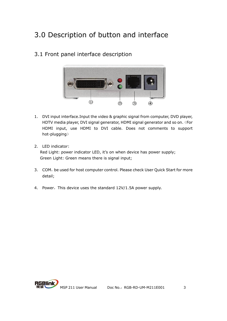# 3.0 Description of button and interface

## 3.1 Front panel interface description



- 1. DVI input interface.Input the video & graphic signal from computer, DVD player, HDTV media player, DVI signal generator, HDMI signal generator and so on. (For HDMI input, use HDMI to DVI cable. Does not comments to support hot-plugging)
- 2. LED indicator: Red Light: power indicator LED, it's on when device has power supply; Green Light: Green means there is signal input;
- 3. COM, be used for host computer control. Please check User Quick Start for more detail;
- 4. Power, This device uses the standard 12V/1.5A power supply.

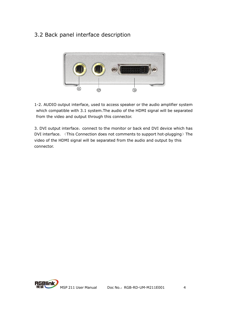## 3.2 Back panel interface description



1-2. AUDIO output interface, used to access speaker or the audio amplifier system which compatible with 3.1 system.The audio of the HDMI signal will be separated from the video and output through this connector.

3. DVI output interface, connect to the monitor or back end DVI device which has DVI interface. (This Connection does not comments to support hot-plugging) The video of the HDMI signal will be separated from the audio and output by this connector.

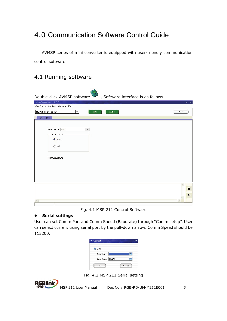## 4.0 Communication Software Control Guide

AVMSP series of mini converter is equipped with user-friendly communication control software.

## 4.1 Running software

| Double-click AVMSP software<br>, Software interface is as follows:                                |       |
|---------------------------------------------------------------------------------------------------|-------|
| MiniConvertor2.0.0.0                                                                              | $- x$ |
| CommSetup Option Advance Help                                                                     |       |
| $\blacktriangledown$<br>MSP 211 HDMIto HDMI<br>ON<br>SYNC                                         | Exit  |
| HDMI-HDMI                                                                                         |       |
| Input Format 480i<br>$\overline{\phantom{a}}$<br>Output Format<br>$①$ HDMI<br>ODVI<br>Output Mute |       |
|                                                                                                   | Ы     |
|                                                                                                   | ×     |
| K.                                                                                                |       |

Fig. 4.1 MSP 211 Control Software

### $\bullet$  Serial settings

User can set Comm Port and Comm Speed (Baudrate) through "Comm setup". User can select current using serial port by the pull-down arrow. Comm Speed should be 115200.

| <b>M</b> Connect    | ×      |
|---------------------|--------|
| Comm                |        |
| Comm Port           |        |
| Comm Speed   115200 |        |
| OK                  | Cancel |

Fig. 4.2 MSP 211 Serial setting

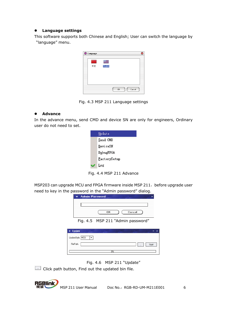#### $\bullet$  Language settings

This software supports both Chinese and English; User can switch the language by "language" menu.



Fig. 4.3 MSP 211 Language settings

### z **Advance**

In the advance menu, send CMD and device SN are only for engineers, Ordinary user do not need to set.

| Update       |
|--------------|
| Send CMD     |
| DeviceSN     |
| DebugFPGA    |
| FactorySetup |
| Log          |

Fig. 4.4 MSP 211 Advance

MSP203 can upgrade MCU and FPGA firmware inside MSP 211, before upgrade user need to key in the password in the "Admin password" dialog.

| <b>M</b> Admin Password |                                                                         |        |  |
|-------------------------|-------------------------------------------------------------------------|--------|--|
|                         |                                                                         |        |  |
|                         | OΚ                                                                      | Cancel |  |
|                         | $\Gamma$ $\approx$ $\Lambda$ $\Gamma$ MCD 211 Madres in presented $\mu$ |        |  |

Fig. 4.5 MSP 211 "Admin password"

| <b>Update</b><br>м                          | $\mathbf{x}$<br>- |
|---------------------------------------------|-------------------|
| UpdateStyle MCU<br>$\overline{\phantom{a}}$ |                   |
| FilePath:                                   | Start<br>$\cdots$ |
| 0%                                          |                   |

Fig. 4.6 MSP 211 "Update"

Click path button, Find out the updated bin file.

MSP 211 User Manual Doc No.: RGB-RD-UM-M211E001 6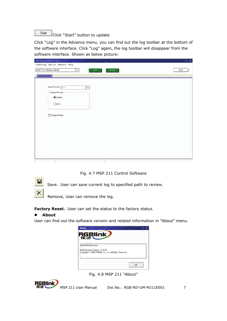## Start Click "Start" button to update

Click "Log" in the Advance menu, you can find out the log toolbar at the bottom of the software interface. Click "Log" again, the log toolbar will disappear from the software interface. Shown as below picture:

| MiniConvertor2.0.0.0                                            | $- x$ |
|-----------------------------------------------------------------|-------|
| CommSetup Option Advance Help                                   |       |
| $\overline{\phantom{0}}$<br>MSP 211 HDMIto HDMI<br>SYNC.<br>ON. | Exit  |
| HDMI-HDMI                                                       |       |
|                                                                 |       |
| Input Format 480i<br>$\star$                                    |       |
| Output Format                                                   |       |
| O HDMI                                                          |       |
|                                                                 |       |
| <b>ODVI</b>                                                     |       |
|                                                                 |       |
| Output Mute                                                     |       |
|                                                                 |       |
|                                                                 |       |
|                                                                 |       |
|                                                                 |       |
|                                                                 |       |
|                                                                 |       |
|                                                                 |       |
|                                                                 |       |
|                                                                 |       |
|                                                                 |       |

Fig. 4.7 MSP 211 Control Software



Save, User can save current log to specified path to review.

Remove, User can remove the log.

Factory Reset: User can set the status to the factory status.

### z **About**

User can find out the software version and related information in "About" menu.

| About                                                                                                             |    |
|-------------------------------------------------------------------------------------------------------------------|----|
| <b>RGBlink</b>                                                                                                    |    |
| About MiniConvertor<br>MiniConvertor Version: v1 8 0 0<br> Copyright C 2009 RGBlink Co.,Ltd, All Rights Reserved. |    |
|                                                                                                                   | Ωk |

Fig. 4.8 MSP 211 "About"

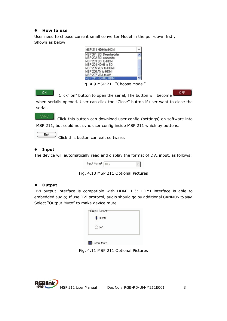#### z **How to use**

User need to choose current small converter Model in the pull-down frstly. Shown as below:

| MSP 211 HDMIto HDMI    |  |
|------------------------|--|
| MSP 291 SDI Deembedder |  |
| MSP 202 SDI embedder   |  |
| MSP 203 SDI to HDMI    |  |
| MSP 204 HDMI to SDI    |  |
| MSP 205 YUV to HDMI    |  |
| MSP 206 AV to HDMI     |  |
| MSP 207 VGA to AV      |  |
| MSP 211 HDMIto HDMI    |  |

Fig. 4.9 MSP 211 "Choose Model"

OFF. ON. Click" on" button to open the serial, The button will become when serialis opened. User can click the "Close" button if user want to close the serial.

**SYNC**  Click this button can download user config (settings) on software into MSP 211, but could not sync user config inside MSP 211 which by buttons.

Exit

Click this button can exit software.

### z **Input**

The device will automatically read and display the format of DVI input, as follows:

Input Format 480i

Fig. 4.10 MSP 211 Optional Pictures

#### $\bullet$  Output

DVI output interface is compatible with HDMI 1.3; HDMI interface is able to embedded audio; If use DVI protocol, audio should go by additional CANNON to play. Select "Output Mute" to make device mute.

| $①$ HDMI |  |
|----------|--|
| ODVI     |  |
|          |  |

Output Mute

Fig. 4.11 MSP 211 Optional Pictures

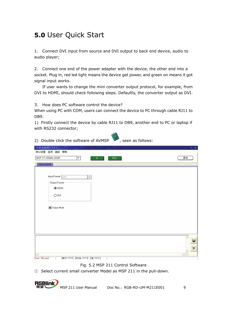# **5.0** User Quick Start

1. Connect DVI input from source and DVI output to back end device, audio to audio player;

2. Connect one end of the power adapter with the device, the other end into a socket. Plug in, red led light means the device get power, and green on means it got signal input works.

 If user wants to change the mini converter output protocol, for example, from DVI to HDMI, should check following steps. Defaultly, the converter output as DVI.

3. How does PC software control the device?

When using PC with COM, users can connect the device to PC through cable RJ11 to DB9.

1) Firstly connect the device by cable RJ11 to DB9, another end to PC or laptop if with RS232 connector;

2) Double click the software of AVMSP  $\sim$ , seen as follows: 串口设置 选项 高级 帮助 MSP 211 HDMIto HDMI  $\overline{|\cdot|}$ 退出  $\pm$ HDMI-HDMI Input Format 480) Output Format • номі ODVI Output Mute  $\blacksquare$  $\times$ Com1 Closed [MCU-????] [FPGA-????] [SN-????]

Fig. 5.2 MSP 211 Control Software

① Select current small converter Model as MSP 211 in the pull-down.

RGBlink MSP 211 User Manual Doc No.: RGB-RD-UM-M211E001 9